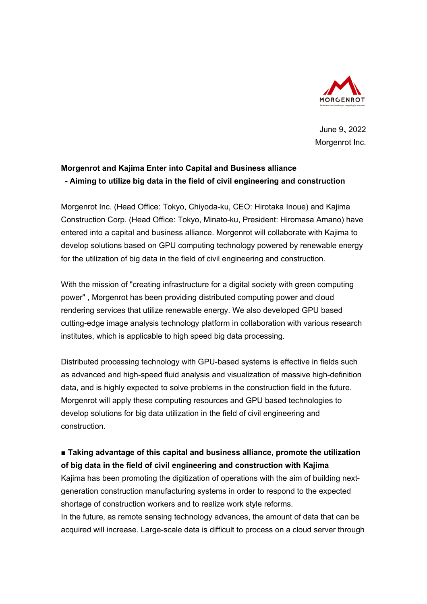

 June 9、2022 Morgenrot Inc.

## **Morgenrot and Kajima Enter into Capital and Business alliance - Aiming to utilize big data in the field of civil engineering and construction**

Morgenrot Inc. (Head Office: Tokyo, Chiyoda-ku, CEO: Hirotaka Inoue) and Kajima Construction Corp. (Head Office: Tokyo, Minato-ku, President: Hiromasa Amano) have entered into a capital and business alliance. Morgenrot will collaborate with Kajima to develop solutions based on GPU computing technology powered by renewable energy for the utilization of big data in the field of civil engineering and construction.

With the mission of "creating infrastructure for a digital society with green computing power" , Morgenrot has been providing distributed computing power and cloud rendering services that utilize renewable energy. We also developed GPU based cutting-edge image analysis technology platform in collaboration with various research institutes, which is applicable to high speed big data processing.

Distributed processing technology with GPU-based systems is effective in fields such as advanced and high-speed fluid analysis and visualization of massive high-definition data, and is highly expected to solve problems in the construction field in the future. Morgenrot will apply these computing resources and GPU based technologies to develop solutions for big data utilization in the field of civil engineering and construction.

## ■ Taking advantage of this capital and business alliance, promote the utilization **of big data in the field of civil engineering and construction with Kajima**

Kajima has been promoting the digitization of operations with the aim of building nextgeneration construction manufacturing systems in order to respond to the expected shortage of construction workers and to realize work style reforms. In the future, as remote sensing technology advances, the amount of data that can be acquired will increase. Large-scale data is difficult to process on a cloud server through